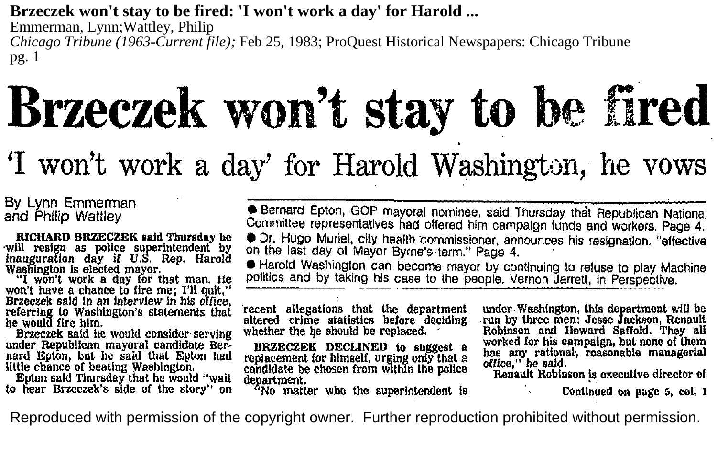#### **Brzeczek won't stay to be fired: 'I won't work a day' for Harold ...**

Emmerman, Lynn;Wattley, Philip *Chicago Tribune (1963-Current file);* Feb 25, 1983; ProQuest Historical Newspapers: Chicago Tribune pg. 1

# **Brzeczek** won't stay to be fired

## 'I won't work a day' for Harold Washington, he vows

By Lynn Emmerman and Philip Wattley

RICHARD BRZECZEK said Thursday he will resign as police superintendent by inauguration day if U.S. Rep. Harold Washington is elected mayor.

"I won't work a day for that man. He won't have a chance to fire me; I'll quit," Brzeczek said in an *interview* In his office, referring to Washington's statements that he would fire him.<br>Brzeczek said he would consider serving

under Republican mayoral candidate Bernard Epton, but he said that Epton had little chance of beating Washington.

to hear Brzeczek's side of the story" on

**• Bernard Epton, GOP mayoral nominee, said Thursday that Republican National** Committee representatives had offered him campaign funds and workers. Page 4.

• Dr. Hugo Muriel, city health ·commissioner, announces his resignation, "effective on the last day of Mayor Byrne's term." Page 4. ·

• Harold Washington can become mayor by continuing to refuse to play Machine politics and by taking his case to the people. Vernon Jarrett, in Perspective.

recent allegations that the department altered crime statistics before deciding whether the he should be replaced.

BRZECZEK DECLINED to suggest a replacement for himself, urging only that a candidate be chosen from within the police department.

'No matter who the superintendent is

under Washington, this department will be run by three men: Jesse Jackson, Renault Robinson and Howard Saffold. They all worked for his campaign, but none of them has any rational., reasonable managerial oftice," he said.

Renault Robinson !s executive director of

Continued on page 5, col. I

Reproduced with permission of the copyright owner. Further reproduction prohibited without permission.